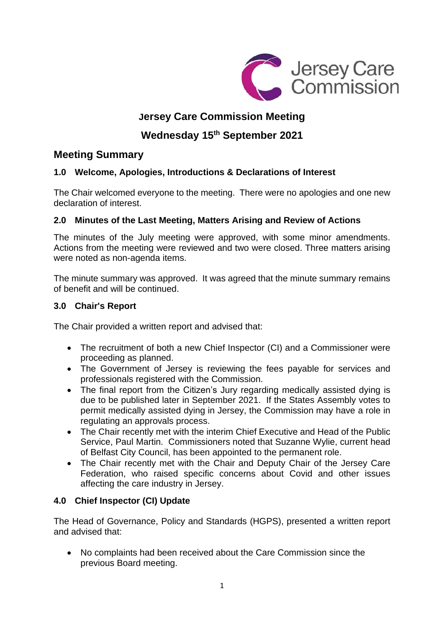

# **Jersey Care Commission Meeting**

# **Wednesday 15 th September 2021**

## **Meeting Summary**

## **1.0 Welcome, Apologies, Introductions & Declarations of Interest**

The Chair welcomed everyone to the meeting. There were no apologies and one new declaration of interest.

## **2.0 Minutes of the Last Meeting, Matters Arising and Review of Actions**

The minutes of the July meeting were approved, with some minor amendments. Actions from the meeting were reviewed and two were closed. Three matters arising were noted as non-agenda items.

The minute summary was approved. It was agreed that the minute summary remains of benefit and will be continued.

## **3.0 Chair's Report**

The Chair provided a written report and advised that:

- The recruitment of both a new Chief Inspector (CI) and a Commissioner were proceeding as planned.
- The Government of Jersey is reviewing the fees payable for services and professionals registered with the Commission.
- The final report from the Citizen's Jury regarding medically assisted dying is due to be published later in September 2021. If the States Assembly votes to permit medically assisted dying in Jersey, the Commission may have a role in regulating an approvals process.
- The Chair recently met with the interim Chief Executive and Head of the Public Service, Paul Martin. Commissioners noted that Suzanne Wylie, current head of Belfast City Council, has been appointed to the permanent role.
- The Chair recently met with the Chair and Deputy Chair of the Jersey Care Federation, who raised specific concerns about Covid and other issues affecting the care industry in Jersey.

## **4.0 Chief Inspector (CI) Update**

The Head of Governance, Policy and Standards (HGPS), presented a written report and advised that:

• No complaints had been received about the Care Commission since the previous Board meeting.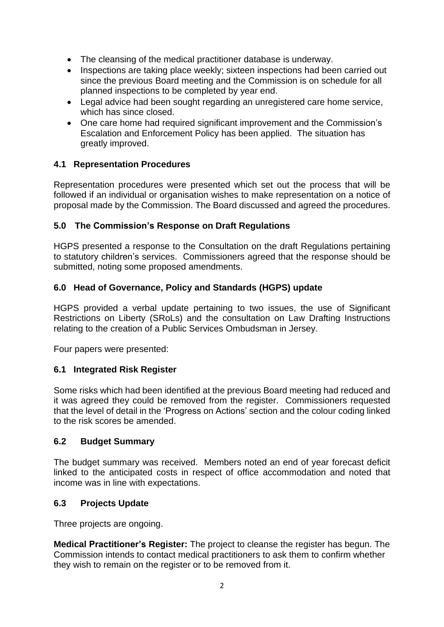- The cleansing of the medical practitioner database is underway.
- Inspections are taking place weekly; sixteen inspections had been carried out since the previous Board meeting and the Commission is on schedule for all planned inspections to be completed by year end.
- Legal advice had been sought regarding an unregistered care home service, which has since closed.
- One care home had required significant improvement and the Commission's Escalation and Enforcement Policy has been applied. The situation has greatly improved.

## **4.1 Representation Procedures**

Representation procedures were presented which set out the process that will be followed if an individual or organisation wishes to make representation on a notice of proposal made by the Commission. The Board discussed and agreed the procedures.

## **5.0 The Commission's Response on Draft Regulations**

HGPS presented a response to the Consultation on the draft Regulations pertaining to statutory children's services. Commissioners agreed that the response should be submitted, noting some proposed amendments.

## **6.0 Head of Governance, Policy and Standards (HGPS) update**

HGPS provided a verbal update pertaining to two issues, the use of Significant Restrictions on Liberty (SRoLs) and the consultation on Law Drafting Instructions relating to the creation of a Public Services Ombudsman in Jersey.

Four papers were presented:

## **6.1 Integrated Risk Register**

Some risks which had been identified at the previous Board meeting had reduced and it was agreed they could be removed from the register. Commissioners requested that the level of detail in the 'Progress on Actions' section and the colour coding linked to the risk scores be amended.

## **6.2 Budget Summary**

The budget summary was received. Members noted an end of year forecast deficit linked to the anticipated costs in respect of office accommodation and noted that income was in line with expectations.

## **6.3 Projects Update**

Three projects are ongoing.

**Medical Practitioner's Register:** The project to cleanse the register has begun. The Commission intends to contact medical practitioners to ask them to confirm whether they wish to remain on the register or to be removed from it.